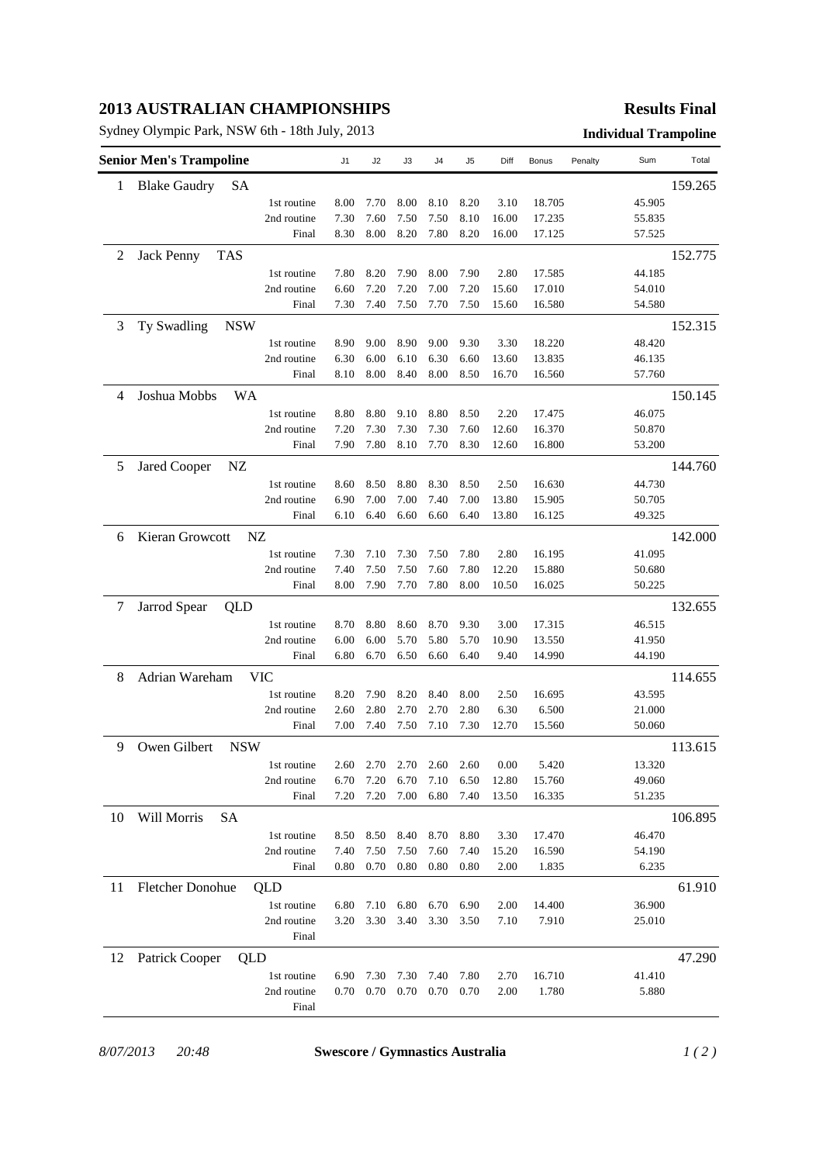## **2013 AUSTRALIAN CHAMPIONSHIPS**

Sydney Olympic Park, NSW 6th - 18th July, 2013 **Individual Trampoline**

## **Results Final**

|    | <b>Senior Men's Trampoline</b> |            |                      | J1           | J2           | J3           | J4           | J5           | Diff          | Bonus            | Penalty | Sum              | Total   |
|----|--------------------------------|------------|----------------------|--------------|--------------|--------------|--------------|--------------|---------------|------------------|---------|------------------|---------|
| 1  | <b>Blake Gaudry</b>            | SА         |                      |              |              |              |              |              |               |                  |         |                  | 159.265 |
|    |                                |            | 1st routine          | 8.00         | 7.70         | 8.00         | 8.10         | 8.20         | 3.10          | 18.705           |         | 45.905           |         |
|    |                                |            | 2nd routine          | 7.30         | 7.60         | 7.50         | 7.50         | 8.10         | 16.00         | 17.235           |         | 55.835           |         |
|    |                                |            | Final                | 8.30         | 8.00         | 8.20         | 7.80         | 8.20         | 16.00         | 17.125           |         | 57.525           |         |
| 2  | <b>Jack Penny</b>              | <b>TAS</b> |                      |              |              |              |              |              |               |                  |         |                  | 152.775 |
|    |                                |            | 1st routine          | 7.80         | 8.20         | 7.90         | 8.00         | 7.90         | 2.80          | 17.585           |         | 44.185           |         |
|    |                                |            | 2nd routine          | 6.60         | 7.20         | 7.20         | 7.00         | 7.20         | 15.60         | 17.010           |         | 54.010           |         |
|    |                                |            | Final                | 7.30         | 7.40         | 7.50         | 7.70         | 7.50         | 15.60         | 16.580           |         | 54.580           |         |
| 3  | Ty Swadling                    | <b>NSW</b> |                      |              |              |              |              |              |               |                  |         |                  | 152.315 |
|    |                                |            | 1st routine          | 8.90         | 9.00         | 8.90         | 9.00         | 9.30         | 3.30          | 18.220           |         | 48.420           |         |
|    |                                |            | 2nd routine          | 6.30         | 6.00         | 6.10         | 6.30         | 6.60         | 13.60         | 13.835           |         | 46.135           |         |
|    |                                |            | Final                | 8.10         | 8.00         | 8.40         | 8.00         | 8.50         | 16.70         | 16.560           |         | 57.760           |         |
| 4  | Joshua Mobbs                   | <b>WA</b>  |                      |              |              |              |              |              |               |                  |         |                  | 150.145 |
|    |                                |            | 1st routine          | 8.80         | 8.80         | 9.10         | 8.80         | 8.50         | 2.20          | 17.475           |         | 46.075           |         |
|    |                                |            | 2nd routine          | 7.20         | 7.30         | 7.30         | 7.30         | 7.60         | 12.60         | 16.370           |         | 50.870           |         |
|    |                                |            | Final                | 7.90         | 7.80         | 8.10         | 7.70         | 8.30         | 12.60         | 16.800           |         | 53.200           |         |
| 5  | <b>Jared Cooper</b>            | NZ         |                      |              |              |              |              |              |               |                  |         |                  | 144.760 |
|    |                                |            | 1st routine          | 8.60         | 8.50         | 8.80         | 8.30         | 8.50         | 2.50          | 16.630           |         | 44.730           |         |
|    |                                |            | 2nd routine          | 6.90         | 7.00         | 7.00         | 7.40         | 7.00         | 13.80         | 15.905           |         | 50.705           |         |
|    |                                |            | Final                | 6.10         | 6.40         | 6.60         | 6.60         | 6.40         | 13.80         | 16.125           |         | 49.325           |         |
| 6  | Kieran Growcott                |            | NZ                   |              |              |              |              |              |               |                  |         |                  | 142.000 |
|    |                                |            | 1st routine          | 7.30         | 7.10         | 7.30         | 7.50         | 7.80         | 2.80          | 16.195           |         | 41.095           |         |
|    |                                |            | 2nd routine          | 7.40         | 7.50         | 7.50         | 7.60         | 7.80         | 12.20         | 15.880           |         | 50.680           |         |
|    |                                |            | Final                | 8.00         | 7.90         | 7.70         | 7.80         | 8.00         | 10.50         | 16.025           |         | 50.225           |         |
|    |                                |            |                      |              |              |              |              |              |               |                  |         |                  |         |
| 7  | Jarrod Spear                   | QLD        |                      |              |              |              |              |              |               |                  |         |                  | 132.655 |
|    |                                |            | 1st routine          | 8.70         | 8.80         | 8.60         | 8.70         | 9.30         | 3.00          | 17.315           |         | 46.515           |         |
|    |                                |            | 2nd routine<br>Final | 6.00<br>6.80 | 6.00<br>6.70 | 5.70<br>6.50 | 5.80<br>6.60 | 5.70<br>6.40 | 10.90<br>9.40 | 13.550<br>14.990 |         | 41.950<br>44.190 |         |
|    |                                |            |                      |              |              |              |              |              |               |                  |         |                  |         |
| 8  | Adrian Wareham                 |            | <b>VIC</b>           |              |              |              |              |              |               |                  |         |                  | 114.655 |
|    |                                |            | 1st routine          | 8.20         | 7.90         | 8.20         | 8.40         | 8.00         | 2.50          | 16.695           |         | 43.595           |         |
|    |                                |            | 2nd routine          | 2.60         | 2.80         | 2.70         | 2.70         | 2.80         | 6.30<br>12.70 | 6.500            |         | 21.000           |         |
|    |                                |            | Final                | 7.00         | 7.40         | 7.50         | 7.10         | 7.30         |               | 15.560           |         | 50.060           |         |
| 9  | Owen Gilbert                   | <b>NSW</b> |                      |              |              |              |              |              |               |                  |         |                  | 113.615 |
|    |                                |            | 1st routine          | 2.60         | 2.70         | 2.70         | 2.60         | 2.60         | 0.00          | 5.420            |         | 13.320           |         |
|    |                                |            | 2nd routine          | 6.70         | 7.20         | 6.70         | 7.10         | 6.50         | 12.80         | 15.760           |         | 49.060           |         |
|    |                                |            | Final                | 7.20         | 7.20         | 7.00         | 6.80         | 7.40         | 13.50         | 16.335           |         | 51.235           |         |
| 10 | Will Morris                    | <b>SA</b>  |                      |              |              |              |              |              |               |                  |         |                  | 106.895 |
|    |                                |            | 1st routine          | 8.50         | 8.50         | 8.40         | 8.70         | 8.80         | 3.30          | 17.470           |         | 46.470           |         |
|    |                                |            | 2nd routine          | 7.40         | 7.50         | 7.50         | 7.60         | 7.40         | 15.20         | 16.590           |         | 54.190           |         |
|    |                                |            | Final                | 0.80         | 0.70         | 0.80         | 0.80         | 0.80         | 2.00          | 1.835            |         | 6.235            |         |
| 11 | <b>Fletcher Donohue</b>        |            | QLD                  |              |              |              |              |              |               |                  |         |                  | 61.910  |
|    |                                |            | 1st routine          | 6.80         | 7.10         | 6.80         | 6.70         | 6.90         | 2.00          | 14.400           |         | 36.900           |         |
|    |                                |            | 2nd routine          | 3.20         | 3.30         | 3.40         | 3.30         | 3.50         | 7.10          | 7.910            |         | 25.010           |         |
|    |                                |            | Final                |              |              |              |              |              |               |                  |         |                  |         |
| 12 | Patrick Cooper                 | QLD        |                      |              |              |              |              |              |               |                  |         |                  | 47.290  |
|    |                                |            | 1st routine          | 6.90         | 7.30         | 7.30         | 7.40         | 7.80         | 2.70          | 16.710           |         | 41.410           |         |
|    |                                |            | 2nd routine          | 0.70         | 0.70         | 0.70         | 0.70         | 0.70         | 2.00          | 1.780            |         | 5.880            |         |
|    |                                |            | Final                |              |              |              |              |              |               |                  |         |                  |         |